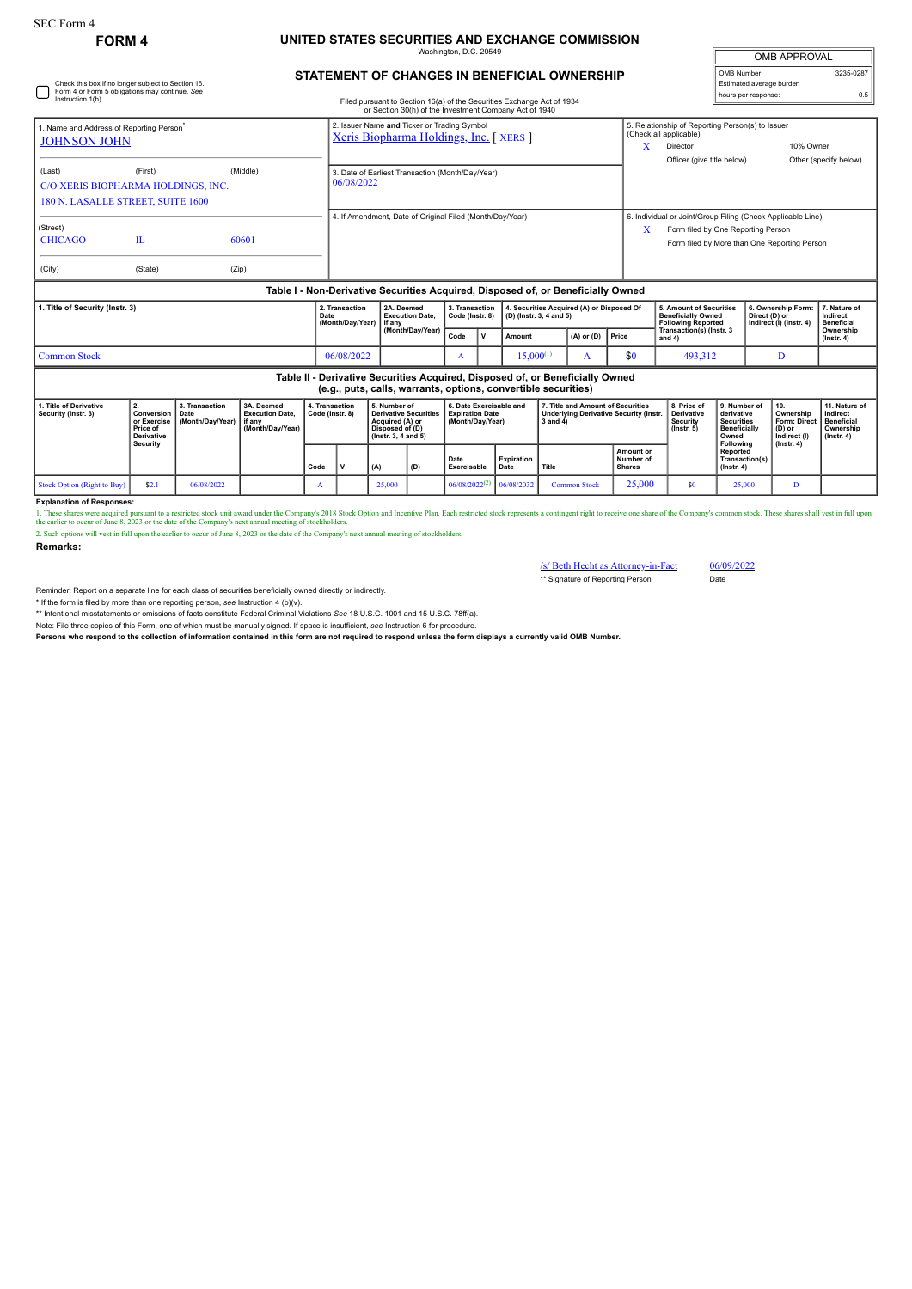## **FORM 4 UNITED STATES SECURITIES AND EXCHANGE COMMISSION** Washington, D.C. 20549

| <b>OMB APPROVAL</b>      |           |  |  |  |  |  |  |
|--------------------------|-----------|--|--|--|--|--|--|
| OMB Number:              | 3235-0287 |  |  |  |  |  |  |
| Estimated average burden |           |  |  |  |  |  |  |
| hours per response:      | 0.5       |  |  |  |  |  |  |

| Check this box if no longer subject to Section 16.<br>Form 4 or Form 5 obligations may continue. See<br>Instruction 1(b).                                                               |                         |                                            |                                                                    |                                                                                                                                                        |                                                | STATEMENT OF CHANGES IN BENEFICIAL OWNERSHIP<br>Filed pursuant to Section 16(a) of the Securities Exchange Act of 1934<br>or Section 30(h) of the Investment Company Act of 1940 | OMB Number:                                                           | Estimated average burden<br>hours per response:                      |                | 3235-0287<br>0.5 |                |                                                                                                                                                                 |                                                                         |                                                                                                                                                        |                                                                                              |                                                                                       |                                                                                 |  |  |
|-----------------------------------------------------------------------------------------------------------------------------------------------------------------------------------------|-------------------------|--------------------------------------------|--------------------------------------------------------------------|--------------------------------------------------------------------------------------------------------------------------------------------------------|------------------------------------------------|----------------------------------------------------------------------------------------------------------------------------------------------------------------------------------|-----------------------------------------------------------------------|----------------------------------------------------------------------|----------------|------------------|----------------|-----------------------------------------------------------------------------------------------------------------------------------------------------------------|-------------------------------------------------------------------------|--------------------------------------------------------------------------------------------------------------------------------------------------------|----------------------------------------------------------------------------------------------|---------------------------------------------------------------------------------------|---------------------------------------------------------------------------------|--|--|
| 1. Name and Address of Reporting Person <sup>®</sup><br><b>JOHNSON JOHN</b><br>(First)<br>(Middle)<br>(Last)<br>C/O XERIS BIOPHARMA HOLDINGS, INC.<br>180 N. LASALLE STREET, SUITE 1600 |                         |                                            |                                                                    | 2. Issuer Name and Ticker or Trading Symbol<br>Xeris Biopharma Holdings, Inc. [XERS]<br>3. Date of Earliest Transaction (Month/Day/Year)<br>06/08/2022 |                                                |                                                                                                                                                                                  |                                                                       |                                                                      |                |                  |                | 5. Relationship of Reporting Person(s) to Issuer<br>(Check all applicable)<br>10% Owner<br>X<br>Director<br>Officer (give title below)<br>Other (specify below) |                                                                         |                                                                                                                                                        |                                                                                              |                                                                                       |                                                                                 |  |  |
| (Street)<br><b>CHICAGO</b><br>(City)                                                                                                                                                    | $\mathbf{L}$<br>(State) | (Zip)                                      | 60601                                                              |                                                                                                                                                        |                                                | 4. If Amendment, Date of Original Filed (Month/Day/Year)                                                                                                                         |                                                                       |                                                                      |                |                  |                |                                                                                                                                                                 |                                                                         | 6. Individual or Joint/Group Filing (Check Applicable Line)<br>Form filed by One Reporting Person<br>X<br>Form filed by More than One Reporting Person |                                                                                              |                                                                                       |                                                                                 |  |  |
|                                                                                                                                                                                         |                         |                                            |                                                                    |                                                                                                                                                        |                                                | Table I - Non-Derivative Securities Acquired, Disposed of, or Beneficially Owned                                                                                                 |                                                                       |                                                                      |                |                  |                |                                                                                                                                                                 |                                                                         |                                                                                                                                                        |                                                                                              |                                                                                       |                                                                                 |  |  |
| 1. Title of Security (Instr. 3)                                                                                                                                                         |                         |                                            |                                                                    | 2. Transaction<br>Date<br>(Month/Day/Year)                                                                                                             | 2A. Deemed<br><b>Execution Date.</b><br>if any | 3. Transaction<br>Code (Instr. 8)                                                                                                                                                |                                                                       | 4. Securities Acquired (A) or Disposed Of<br>(D) (Instr. 3, 4 and 5) |                |                  |                | 5. Amount of Securities<br><b>Beneficially Owned</b><br><b>Following Reported</b>                                                                               |                                                                         |                                                                                                                                                        | 6. Ownership Form:<br>Direct (D) or<br>Indirect (I) (Instr. 4)                               | 7. Nature of<br>Indirect<br><b>Beneficial</b>                                         |                                                                                 |  |  |
|                                                                                                                                                                                         |                         |                                            |                                                                    |                                                                                                                                                        |                                                | (Month/Day/Year)                                                                                                                                                                 | Code                                                                  | $\mathbf v$                                                          | Amount         |                  | $(A)$ or $(D)$ | Price                                                                                                                                                           | Transaction(s) (Instr. 3<br>and $4)$                                    |                                                                                                                                                        |                                                                                              |                                                                                       | Ownership<br>$($ Instr. 4 $)$                                                   |  |  |
| <b>Common Stock</b>                                                                                                                                                                     |                         |                                            |                                                                    |                                                                                                                                                        | 06/08/2022                                     |                                                                                                                                                                                  | $\mathbf{A}$                                                          |                                                                      | $15.000^{(1)}$ |                  | А              | \$0                                                                                                                                                             |                                                                         |                                                                                                                                                        | 493.312                                                                                      |                                                                                       |                                                                                 |  |  |
|                                                                                                                                                                                         |                         |                                            |                                                                    |                                                                                                                                                        |                                                | Table II - Derivative Securities Acquired, Disposed of, or Beneficially Owned<br>(e.g., puts, calls, warrants, options, convertible securities)                                  |                                                                       |                                                                      |                |                  |                |                                                                                                                                                                 |                                                                         |                                                                                                                                                        |                                                                                              |                                                                                       |                                                                                 |  |  |
| 1. Title of Derivative<br>2.<br>Security (Instr. 3)<br>Conversion<br>or Exercise<br>Price of<br><b>Derivative</b><br>Security                                                           |                         | 3. Transaction<br>Date<br>(Month/Day/Year) | 3A. Deemed<br><b>Execution Date.</b><br>if anv<br>(Month/Day/Year) |                                                                                                                                                        | 4. Transaction<br>Code (Instr. 8)              | 5. Number of<br><b>Derivative Securities</b><br>Acquired (A) or<br>Disposed of (D)<br>(Instr. 3, 4 and 5)                                                                        | 6. Date Exercisable and<br><b>Expiration Date</b><br>(Month/Day/Year) |                                                                      |                | $3$ and $4)$     |                | 7. Title and Amount of Securities<br><b>Underlying Derivative Security (Instr.</b>                                                                              | 8. Price of<br><b>Derivative</b><br><b>Security</b><br>$($ Instr. 5 $)$ |                                                                                                                                                        | 9. Number of<br>derivative<br><b>Securities</b><br><b>Beneficially</b><br>Owned<br>Following | 10.<br>Ownership<br><b>Form: Direct</b><br>(D) or<br>Indirect (I)<br>$($ lnstr. 4 $)$ | 11. Nature of<br>Indirect<br><b>Beneficial</b><br>Ownership<br>$($ lnstr. 4 $)$ |  |  |
|                                                                                                                                                                                         |                         |                                            |                                                                    |                                                                                                                                                        |                                                |                                                                                                                                                                                  |                                                                       |                                                                      |                |                  |                |                                                                                                                                                                 |                                                                         |                                                                                                                                                        |                                                                                              |                                                                                       |                                                                                 |  |  |

**Explanation of Responses:**

1. These shares were acquired pursuant to a restricted stock unit award under the Company's 2018 Stock Option and Incentive Plan. Each restricted stock represents a contingent right to receive one share of the Company's co

**Date Exercisable**

Stock Option (Right to Buy) \$2.1 06/08/2022 A 25,000 A 25,000 06/08/2022<sup>(2)</sup> 06/08/2032 Common Stock 25,000 \$0 25,000 D

**Expiration Date Title**

**Remarks:**

/s/ Beth Hecht as Attorney-in-Fact 06/09/2022 \*\* Signature of Reporting Person Date

**Amount or Number of Shares**

**Reported Transaction(s) (Instr. 4)**

Reminder: Report on a separate line for each class of securities beneficially owned directly or indirectly.

\* If the form is filed by more than one reporting person, *see* Instruction 4 (b)(v).

\*\* Intentional misstatements or omissions of facts constitute Federal Criminal Violations *See* 18 U.S.C. 1001 and 15 U.S.C. 78ff(a).

Note: File three copies of this Form, one of which must be manually signed. If space is insufficient, see Instruction 6 for procedure.<br>Persons who respond to the collection of information contained in this form are not req

**Code V (A) (D)**